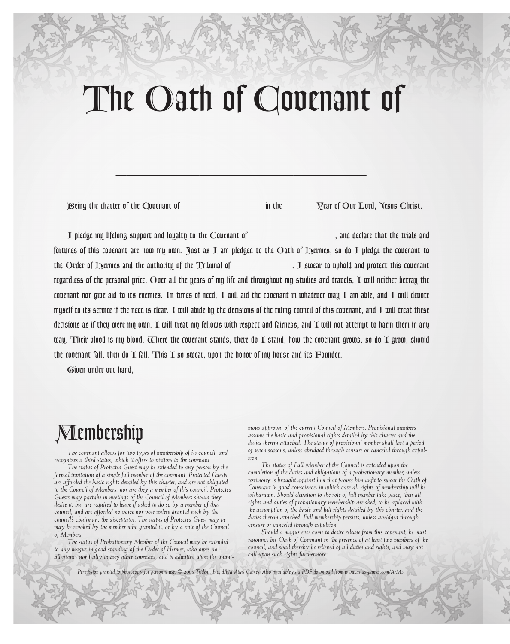# *The Oath of Covenant of*

*\_\_\_\_\_\_\_\_\_\_\_\_\_\_\_\_\_\_\_\_\_\_\_\_*

*Being the charter of the Covenant of in the Year of Our Lord, Jesus Christ.*

*I pledge my lifelong support and loyalty to the Covenant of , and declare that the trials and fortunes of this covenant are now my own. Just as I am pledged to the Oath of Hermes, so do I pledge the covenant to the Order of Hermes and the authority of the Tribunal of . I swear to uphold and protect this covenant regardless of the personal price. Over all the years of my life and throughout my studies and travels, I will neither betray the covenant nor give aid to its enemies. In times of need, I will aid the covenant in whatever way I am able, and I will devote myself to its service if the need is clear. I will abide by the decisions of the ruling council of this covenant, and I will treat these decisions as if they were my own. I will treat my fellows with respect and fairness, and I will not attempt to harm them in any*  way. Their blood is my blood. Where the covenant stands, there do I stand; how the covenant grows, so do I grow; should *the covenant fall, then do I fall. This I so swear, upon the honor of my house and its Founder.*

*Given under our hand,*

# *Membership*

*The covenant allows for two types of membership of its council, and recognizes a third status, which it offers to visitors to the covenant.*

*The status of Protected Guest may be extended to any person by the formal invitation of a single full member of the covenant. Protected Guests are afforded the basic rights detailed by this charter, and are not obligated to the Council of Members, nor are they a member of this council. Protected Guests may partake in meetings of the Council of Members should they desire it, but are required to leave if asked to do so by a member of that council, and are afforded no voice nor vote unless granted such by the council's chairman, the disceptator. The status of Protected Guest may be may be revoked by the member who granted it, or by a vote of the Council of Members.*

*The status of Probationary Member of the Council may be extended to any magus in good standing of the Order of Hermes, who owes no allegiance nor fealty to any other covenant, and is admitted upon the unani-*

*mous approval of the current Council of Members. Provisional members assume the basic and provisional rights detailed by this charter and the duties therein attached. The status of provisional member shall last a period of seven seasons, unless abridged through censure or canceled through expulsion.*

*The status of Full Member of the Council is extended upon the completion of the duties and obligations of a probationary member, unless*  testimony is brought against him that proves him unfit to swear the Oath of *Covenant in good conscience; in which case all rights of membership will be withdrawn. Should elevation to the role of full member take place, then all rights and duties of probationary membership are shed, to be replaced with the assumption of the basic and full rights detailed by this charter, and the duties therein attached. Full membership persists, unless abridged through censure or canceled through expulsion.*

*Should a magus ever come to desire release from this covenant, he must renounce his Oath of Covenant in the presence of at least two members of the council, and shall thereby be relieved of all duties and rights, and may not call upon such rights furthermore.*

*Permission granted to photocopy for personal use. © 2005 Trident, Inc. d/b/a Atlas Games. Also available as a PDF download from www.atlas-games.com/ArM5.*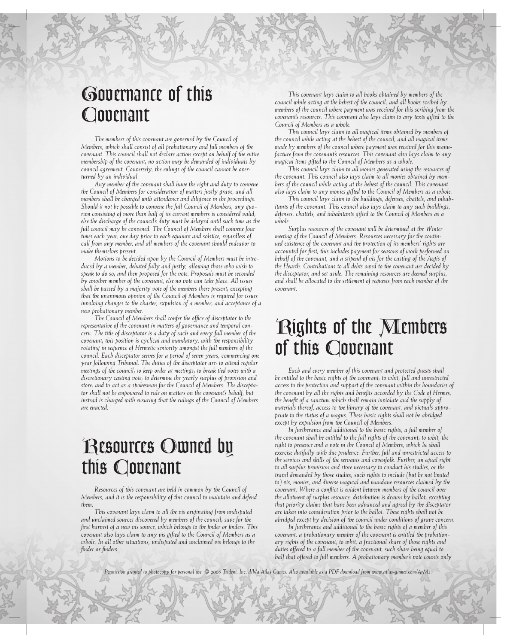# *Governance of this Covenant*

*The members of this covenant are governed by the Council of Members, which shall consist of all probationary and full members of the covenant. This council shall not declare action except on behalf of the entire membership of the covenant; no action may be demanded of individuals by council agreement. Conversely, the rulings of the council cannot be overturned by an individual.*

*Any member of the covenant shall have the right and duty to convene the Council of Members for consideration of matters justly grave, and all members shall be charged with attendance and diligence in the proceedings. Should it not be possible to convene the full Council of Members, any quorum consisting of more than half of its current members is considered valid; else the discharge of the council's duty must be delayed until such time as the full council may be convened. The Council of Members shall convene four times each year, one day prior to each equinox and solstice, regardless of call from any member, and all members of the covenant should endeavor to make themselves present.*

*Motions to be decided upon by the Council of Members must be introduced by a member; debated fully and justly, allowing those who wish to speak to do so; and then proposed for the vote. Proposals must be seconded by another member of the covenant, else no vote can take place. All issues shall be passed by a majority vote of the members there present; excepting that the unanimous opinion of the Council of Members is required for issues involving changes to the charter; expulsion of a member; and acceptance of a new probationary member.*

*The Council of Members shall confer the office of disceptator to the representative of the covenant in matters of governance and temporal concern. The title of disceptator is a duty of each and every full member of the covenant; this position is cyclical and mandatory, with the responsibility rotating in sequence of Hermetic seniority amongst the full members of the council. Each disceptator serves for a period of seven years, commencing one year following Tribunal. The duties of the disceptator are: to attend regular meetings of the council; to keep order at meetings; to break tied votes with a discretionary casting vote; to determine the yearly surplus of provision and store; and to act as a spokesman for the Council of Members. The disceptator shall not be empowered to rule on matters on the covenant's behalf, but instead is charged with ensuring that the rulings of the Council of Members are enacted.* 

## *Resources Owned by this Covenant*

*Resources of this covenant are held in common by the Council of Members, and it is the responsibility of this council to maintain and defend them.*

*This covenant lays claim to all the vis originating from undisputed and unclaimed sources discovered by members of the council; save for the first harvest of a new vis source, which belongs to the finder or finders. This covenant also lays claim to any vis gifted to the Council of Members as a*  whole. In all other situations, undisputed and unclaimed vis belongs to the *finder or finders.*

*This covenant lays claim to all books obtained by members of the council while acting at the behest of the council, and all books scribed by members of the council where payment was received for this scribing from the covenant's resources. This covenant also lays claim to any texts gifted to the Council of Members as a whole.*

*This council lays claim to all magical items obtained by members of the council while acting at the behest of the council; and all magical items made by members of the council where payment was received for this manufacture from the covenant's resources. This covenant also lays claim to any magical items gifted to the Council of Members as a whole.*

*This council lays claim to all monies generated using the resources of the covenant. This council also lays claim to all monies obtained by members of the council while acting at the behest of the council. This covenant also lays claim to any monies gifted to the Council of Members as a whole.*

*This council lays claim to the buildings, defenses, chattels, and inhabitants of the covenant. This council also lays claim to any such buildings, defenses, chattels, and inhabitants gifted to the Council of Members as a whole.*

*Surplus resources of the covenant will be determined at the Winter meeting of the Council of Members. Resources necessary for the continued existence of the covenant and the protection of its members' rights are accounted for first; this includes payment for seasons of work performed on*  behalf of the covenant, and a stipend of vis for the casting of the Aegis of *the Hearth. Contributions to all debts owed to the covenant are decided by the disceptator, and set aside. The remaining resources are deemed surplus, and shall be allocated to the settlement of requests from each member of the covenant.* 

#### *Rights of the Members of this Covenant*

*Each and every member of this covenant and protected guests shall be entitled to the basic rights of the covenant; to whit, full and unrestricted access to the protection and support of the covenant within the boundaries of the covenant by all the rights and benefits accorded by the Code of Hermes, the benefit of a sanctum which shall remain inviolate and the supply of materials thereof, access to the library of the covenant, and victuals appropriate to the status of a magus. These basic rights shall not be abridged except by expulsion from the Council of Members.*

*In furtherance and additional to the basic rights, a full member of the covenant shall be entitled to the full rights of the covenant; to whit, the right to presence and a vote in the Council of Members, which he shall exercise dutifully with due prudence. Further, full and unrestricted access to the services and skills of the servants and covenfolk. Further, an equal right to all surplus provision and store necessary to conduct his studies, or the travel demanded by those studies; such rights to include (but be not limited to) vis, monies, and diverse magical and mundane resources claimed by the covenant. Where a conflict is evident between members of the council over the allotment of surplus resource, distribution is drawn by ballot; excepting that priority claims that have been advanced and agreed by the disceptator are taken into consideration prior to the ballot. These rights shall not be abridged except by decision of the council under conditions of grave concern.*

*In furtherance and additional to the basic rights of a member of this covenant, a probationary member of the covenant is entitled the probationary rights of the covenant; to whit, a fractional share of those rights and duties offered to a full member of the covenant, such share being equal to half that offered to full members. A probationary member's vote counts only* 

*Permission granted to photocopy for personal use. © 2005 Trident, Inc. d/b/a Atlas Games. Also available as a PDF download from www.atlas-games.com/ArM5.*